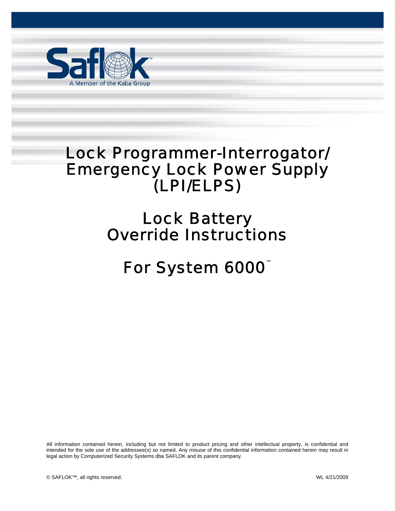

## Lock Programmer-Interrogator/ Emergency Lock Power Supply (LPI/ELPS)

## Lock Battery Override Instructions

# *For System 6000™*

All information contained herein, including but not limited to product pricing and other intellectual property, is confidential and intended for the sole use of the addressee(s) so named. Any misuse of this confidential information contained herein may result in legal action by Computerized Security Systems dba SAFLOK and its parent company.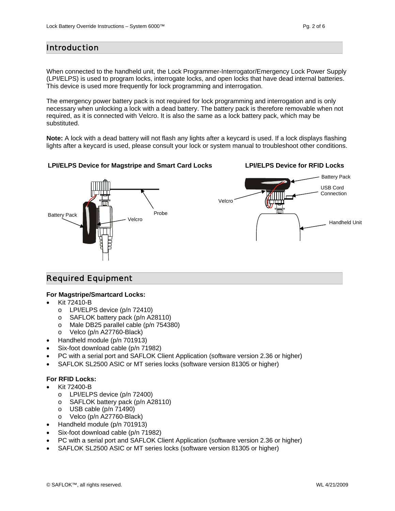### Introduction

When connected to the handheld unit, the Lock Programmer-Interrogator/Emergency Lock Power Supply (LPI/ELPS) is used to program locks, interrogate locks, and open locks that have dead internal batteries. This device is used more frequently for lock programming and interrogation.

The emergency power battery pack is not required for lock programming and interrogation and is only necessary when unlocking a lock with a dead battery. The battery pack is therefore removable when not required, as it is connected with Velcro. It is also the same as a lock battery pack, which may be substituted.

**Note:** A lock with a dead battery will not flash any lights after a keycard is used. If a lock displays flashing lights after a keycard is used, please consult your lock or system manual to troubleshoot other conditions.

#### **LPI/ELPS Device for Magstripe and Smart Card Locks**

Battery Pack Probe Probe



### Required Equipment

#### **For Magstripe/Smartcard Locks:**

- Kit 72410-B
	- o LPI/ELPS device (p/n 72410)
	- o SAFLOK battery pack (p/n A28110)
	- o Male DB25 parallel cable (p/n 754380)
	- o Velco (p/n A27760-Black)
- Handheld module (p/n 701913)
- Six-foot download cable (p/n 71982)
- PC with a serial port and SAFLOK Client Application (software version 2.36 or higher)
- SAFLOK SL2500 ASIC or MT series locks (software version 81305 or higher)

#### **For RFID Locks:**

- Kit 72400-B
	- o LPI/ELPS device (p/n 72400)
	- o SAFLOK battery pack (p/n A28110)
	- $\circ$  USB cable (p/n 71490)
	- o Velco (p/n A27760-Black)
- Handheld module (p/n 701913)
- Six-foot download cable (p/n 71982)
- PC with a serial port and SAFLOK Client Application (software version 2.36 or higher)
- SAFLOK SL2500 ASIC or MT series locks (software version 81305 or higher)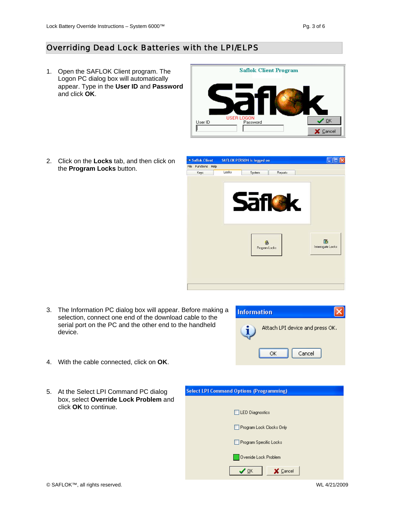## Overriding Dead Lock Batteries with the LPI/ELPS

1. Open the SAFLOK Client program. The Logon PC dialog box will automatically appear. Type in the **User ID** and **Password** and click **OK**.

2. Click on the **Locks** tab, and then click on the **Program Locks** button.





3. The Information PC dialog box will appear. Before making a selection, connect one end of the download cable to the serial port on the PC and the other end to the handheld device.



- 4. With the cable connected, click on **OK**.
- 5. At the Select LPI Command PC dialog box, select **Override Lock Problem** and click **OK** to continue.

| <b>Select LPI Command Options (Programming)</b> |
|-------------------------------------------------|
|                                                 |
| LED Diagnostics                                 |
| Program Lock Clocks Only                        |
| Program Specific Locks                          |
| Override Lock Problem                           |
| QK<br><b>Cancel</b>                             |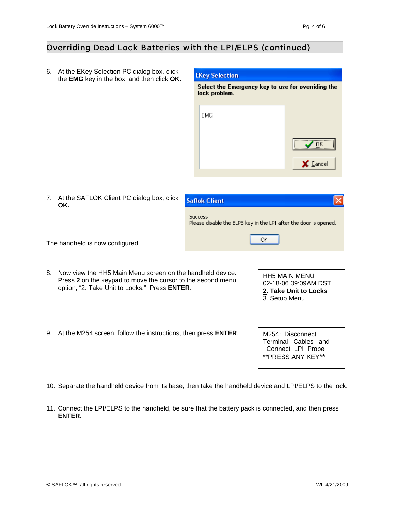## Overriding Dead Lock Batteries with the LPI/ELPS (continued)

6. At the EKey Selection PC dialog box, click the **EMG** key in the box, and then click **OK**.

#### **EKey Selection**

Select the Emergency key to use for overriding the lock problem.

| EMG |          |
|-----|----------|
|     |          |
|     | X Cancel |

7. At the SAFLOK Client PC dialog box, click **OK.** 

| <b>Saflok Client</b>                                                               |
|------------------------------------------------------------------------------------|
| <b>Success</b><br>Please disable the ELPS key in the LPI after the door is opened. |
| ОK                                                                                 |

The handheld is now configured.

- 8. Now view the HH5 Main Menu screen on the handheld device. Press **2** on the keypad to move the cursor to the second menu option, "2. Take Unit to Locks."Press **ENTER**.
- 9. At the M254 screen, follow the instructions, then press **ENTER**.

HH5 MAIN MENU 02-18-06 09:09AM DST **2. Take Unit to Locks**  3. Setup Menu

M254: Disconnect Terminal Cables and Connect LPI Probe \*\*PRESS ANY KEY\*\*

- 10. Separate the handheld device from its base, then take the handheld device and LPI/ELPS to the lock.
- 11. Connect the LPI/ELPS to the handheld, be sure that the battery pack is connected, and then press **ENTER.**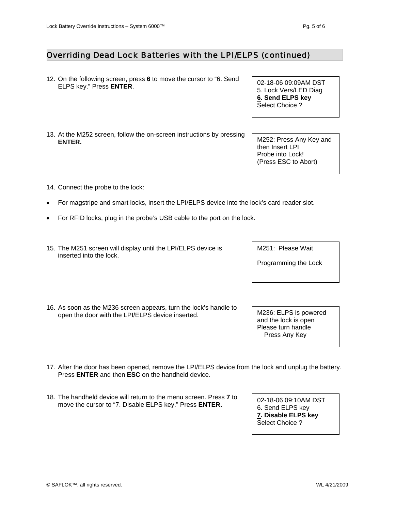## Overriding Dead Lock Batteries with the LPI/ELPS (continued)

- 12. On the following screen, press **6** to move the cursor to "6. Send Off the following screen, press **6** to move the cursor to 10. Seria [102-18-06 09:09AM DST]
- 13. At the M252 screen, follow the on-screen instructions by pressing **ENTER. ENTER. EXECUTE: ENTER. ENTER. ENTER. ENTER. ENTER. ENTER. ENTER. ENTER. ENTER. ENTER. ENTER. ENTER. ENTER. ENTER. ENTER. ENTER. ENTER. ENTER. ENTER. ENTER. ENTER. ENT**
- 14. Connect the probe to the lock:
- For magstripe and smart locks, insert the LPI/ELPS device into the lock's card reader slot.
- For RFID locks, plug in the probe's USB cable to the port on the lock.
- 15. The M251 screen will display until the LPI/ELPS device is inserted into the lock.
- 16. As soon as the M236 screen appears, turn the lock's handle to open the door with the LPI/ELPS device inserted. M236: ELPS is powered

17. After the door has been opened, remove the LPI/ELPS device from the lock and unplug the battery. Press **ENTER** and then **ESC** on the handheld device.

18. The handheld device will return to the menu screen. Press **7** to move the cursor to "7. Disable ELPS key." Press **ENTER.**

5. Lock Vers/LED Diag **6. Send ELPS key**  Select Choice ?

then Insert LPI Probe into Lock! (Press ESC to Abort)

and the lock is open Please turn handle Press Any Key

02-18-06 09:10AM DST 6. Send ELPS key **7. Disable ELPS key**  Select Choice ?

M251: Please Wait

Programming the Lock